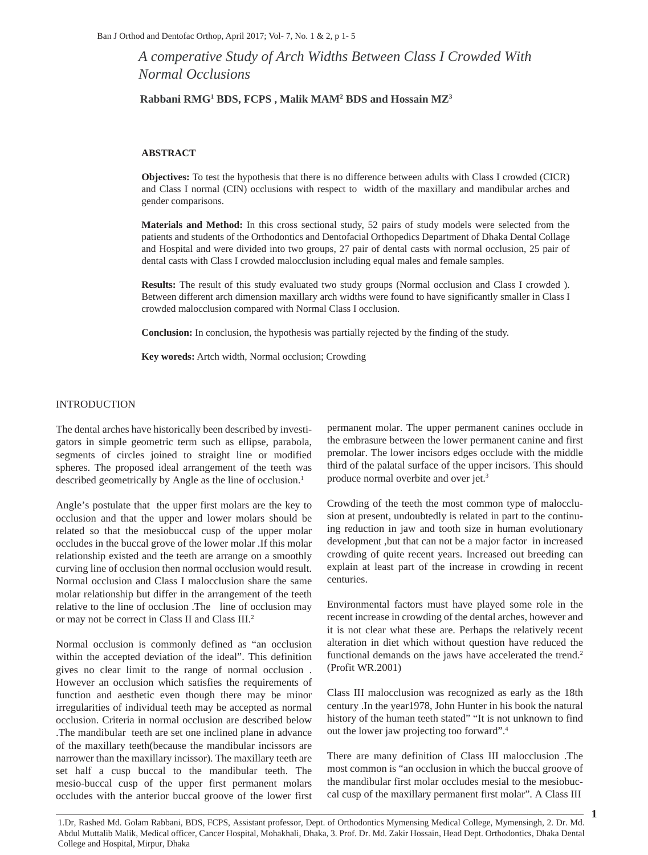*A comperative Study of Arch Widths Between Class I Crowded With Normal Occlusions* 

### **Rabbani RMG1 BDS, FCPS , Malik MAM2 BDS and Hossain MZ3**

#### **ABSTRACT**

**Objectives:** To test the hypothesis that there is no difference between adults with Class I crowded (CICR) and Class I normal (CIN) occlusions with respect to width of the maxillary and mandibular arches and gender comparisons.

**Materials and Method:** In this cross sectional study, 52 pairs of study models were selected from the patients and students of the Orthodontics and Dentofacial Orthopedics Department of Dhaka Dental Collage and Hospital and were divided into two groups, 27 pair of dental casts with normal occlusion, 25 pair of dental casts with Class I crowded malocclusion including equal males and female samples.

**Results:** The result of this study evaluated two study groups (Normal occlusion and Class I crowded ). Between different arch dimension maxillary arch widths were found to have significantly smaller in Class I crowded malocclusion compared with Normal Class I occlusion.

**Conclusion:** In conclusion, the hypothesis was partially rejected by the finding of the study.

**Key woreds:** Artch width, Normal occlusion; Crowding

### INTRODUCTION

The dental arches have historically been described by investigators in simple geometric term such as ellipse, parabola, segments of circles joined to straight line or modified spheres. The proposed ideal arrangement of the teeth was described geometrically by Angle as the line of occlusion.<sup>1</sup>

Angle's postulate that the upper first molars are the key to occlusion and that the upper and lower molars should be related so that the mesiobuccal cusp of the upper molar occludes in the buccal grove of the lower molar .If this molar relationship existed and the teeth are arrange on a smoothly curving line of occlusion then normal occlusion would result. Normal occlusion and Class I malocclusion share the same molar relationship but differ in the arrangement of the teeth relative to the line of occlusion .The line of occlusion may or may not be correct in Class II and Class III.2

Normal occlusion is commonly defined as "an occlusion within the accepted deviation of the ideal". This definition gives no clear limit to the range of normal occlusion . However an occlusion which satisfies the requirements of function and aesthetic even though there may be minor irregularities of individual teeth may be accepted as normal occlusion. Criteria in normal occlusion are described below .The mandibular teeth are set one inclined plane in advance of the maxillary teeth(because the mandibular incissors are narrower than the maxillary incissor). The maxillary teeth are set half a cusp buccal to the mandibular teeth. The mesio-buccal cusp of the upper first permanent molars occludes with the anterior buccal groove of the lower first permanent molar. The upper permanent canines occlude in the embrasure between the lower permanent canine and first premolar. The lower incisors edges occlude with the middle third of the palatal surface of the upper incisors. This should produce normal overbite and over jet.3

Crowding of the teeth the most common type of malocclusion at present, undoubtedly is related in part to the continuing reduction in jaw and tooth size in human evolutionary development ,but that can not be a major factor in increased crowding of quite recent years. Increased out breeding can explain at least part of the increase in crowding in recent centuries.

Environmental factors must have played some role in the recent increase in crowding of the dental arches, however and it is not clear what these are. Perhaps the relatively recent alteration in diet which without question have reduced the functional demands on the jaws have accelerated the trend.<sup>2</sup> (Profit WR.2001)

Class III malocclusion was recognized as early as the 18th century .In the year1978, John Hunter in his book the natural history of the human teeth stated" "It is not unknown to find out the lower jaw projecting too forward".4

There are many definition of Class III malocclusion .The most common is "an occlusion in which the buccal groove of the mandibular first molar occludes mesial to the mesiobuccal cusp of the maxillary permanent first molar". A Class III

1.Dr, Rashed Md. Golam Rabbani, BDS, FCPS, Assistant professor, Dept. of Orthodontics Mymensing Medical College, Mymensingh, 2. Dr. Md. Abdul Muttalib Malik, Medical officer, Cancer Hospital, Mohakhali, Dhaka, 3. Prof. Dr. Md. Zakir Hossain, Head Dept. Orthodontics, Dhaka Dental College and Hospital, Mirpur, Dhaka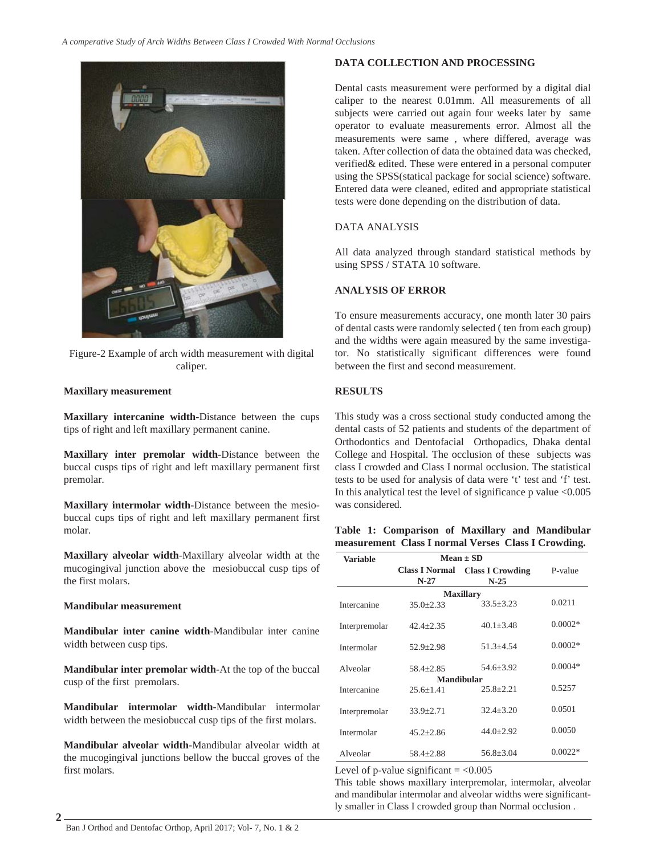

Figure-2 Example of arch width measurement with digital caliper.

## **Maxillary measurement**

**Maxillary intercanine width-**Distance between the cups tips of right and left maxillary permanent canine.

**Maxillary inter premolar width-**Distance between the buccal cusps tips of right and left maxillary permanent first premolar.

**Maxillary intermolar width-**Distance between the mesiobuccal cups tips of right and left maxillary permanent first molar.

**Maxillary alveolar width**-Maxillary alveolar width at the mucogingival junction above the mesiobuccal cusp tips of the first molars.

## **Mandibular measurement**

**2**

**Mandibular inter canine width**-Mandibular inter canine width between cusp tips.

**Mandibular inter premolar width-**At the top of the buccal cusp of the first premolars.

**Mandibular intermolar width**-Mandibular intermolar width between the mesiobuccal cusp tips of the first molars.

**Mandibular alveolar width-**Mandibular alveolar width at the mucogingival junctions bellow the buccal groves of the first molars.

# **DATA COLLECTION AND PROCESSING**

Dental casts measurement were performed by a digital dial caliper to the nearest 0.01mm. All measurements of all subjects were carried out again four weeks later by same operator to evaluate measurements error. Almost all the measurements were same , where differed, average was taken. After collection of data the obtained data was checked, verified& edited. These were entered in a personal computer using the SPSS(statical package for social science) software. Entered data were cleaned, edited and appropriate statistical tests were done depending on the distribution of data.

# DATA ANALYSIS

All data analyzed through standard statistical methods by using SPSS / STATA 10 software.

# **ANALYSIS OF ERROR**

To ensure measurements accuracy, one month later 30 pairs of dental casts were randomly selected ( ten from each group) and the widths were again measured by the same investigator. No statistically significant differences were found between the first and second measurement.

# **RESULTS**

This study was a cross sectional study conducted among the dental casts of 52 patients and students of the department of Orthodontics and Dentofacial Orthopadics, Dhaka dental College and Hospital. The occlusion of these subjects was class I crowded and Class I normal occlusion. The statistical tests to be used for analysis of data were 't' test and 'f' test. In this analytical test the level of significance p value <0.005 was considered.

## **Table 1: Comparison of Maxillary and Mandibular measurement Class I normal Verses Class I Crowding.**

| Variable         | $Mean + SD$                     |                                   |           |  |  |
|------------------|---------------------------------|-----------------------------------|-----------|--|--|
|                  | <b>Class I Normal</b><br>$N-27$ | <b>Class I Crowding</b><br>$N-25$ | P-value   |  |  |
| <b>Maxillary</b> |                                 |                                   |           |  |  |
| Intercanine      | $35.0 \pm 2.33$                 | $33.5 + 3.23$                     | 0.0211    |  |  |
| Interpremolar    | $42.4 + 2.35$                   | $40.1 + 3.48$                     | $0.0002*$ |  |  |
| Intermolar       | $52.9 + 2.98$                   | $51.3 + 4.54$                     | $0.0002*$ |  |  |
| Alveolar         | $58.4 + 2.85$                   | $54.6 + 3.92$                     | $0.0004*$ |  |  |
|                  |                                 | <b>Mandibular</b>                 | 0.5257    |  |  |
| Intercanine      | $25.6 + 1.41$                   | $25.8 \pm 2.21$                   |           |  |  |
| Interpremolar    | $33.9 + 2.71$                   | $32.4 + 3.20$                     | 0.0501    |  |  |
| Intermolar       | $45.2 + 2.86$                   | $44.0 + 2.92$                     | 0.0050    |  |  |
| Alveolar         | $58.4 + 2.88$                   | $56.8 + 3.04$                     | $0.0022*$ |  |  |

Level of p-value significant  $= <0.005$ 

This table shows maxillary interpremolar, intermolar, alveolar and mandibular intermolar and alveolar widths were significantly smaller in Class I crowded group than Normal occlusion .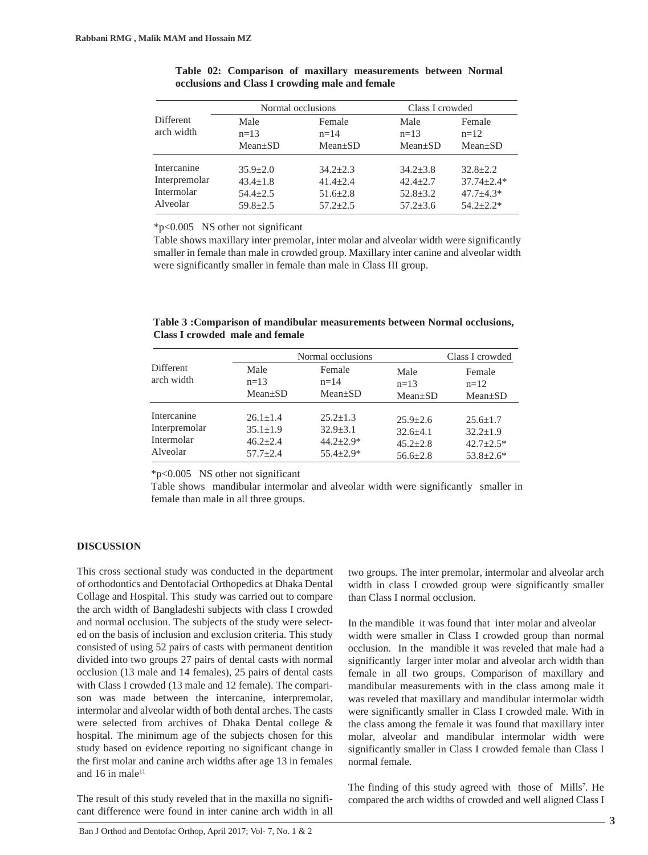|                                                        |                                                                  | Normal occlusions                                                |                                                                | Class I crowded                                                    |  |
|--------------------------------------------------------|------------------------------------------------------------------|------------------------------------------------------------------|----------------------------------------------------------------|--------------------------------------------------------------------|--|
| Different                                              | Male                                                             | Female                                                           | Male                                                           | Female                                                             |  |
| arch width                                             | $n=13$                                                           | $n=14$                                                           | $n = 1.3$                                                      | $n=12$                                                             |  |
|                                                        | $Mean \pm SD$                                                    | $Mean \pm SD$                                                    | $Mean \pm SD$                                                  | $Mean \pm SD$                                                      |  |
| Intercanine<br>Interpremolar<br>Intermolar<br>Alveolar | $35.9 + 2.0$<br>$43.4 + 1.8$<br>$54.4 \pm 2.5$<br>$59.8 \pm 2.5$ | $34.2 + 2.3$<br>$41.4 + 2.4$<br>$51.6 \pm 2.8$<br>$57.2 \pm 2.5$ | $34.2 + 3.8$<br>$42.4 + 2.7$<br>$52.8 \pm 3.2$<br>$57.2 + 3.6$ | $32.8 + 2.2$<br>$37.74 + 2.4*$<br>$47.7 \pm 4.3*$<br>$54.2 + 2.2*$ |  |

**Table 02: Comparison of maxillary measurements between Normal occlusions and Class I crowding male and female**

\*p<0.005 NS other not significant

Table shows maxillary inter premolar, inter molar and alveolar width were significantly smaller in female than male in crowded group. Maxillary inter canine and alveolar width were significantly smaller in female than male in Class III group.

| Table 3: Comparison of mandibular measurements between Normal occlusions, |  |  |
|---------------------------------------------------------------------------|--|--|
| Class I crowded male and female                                           |  |  |

|                                                        | Normal occlusions                                                |                                                                    |                                                                | Class I crowded                                                   |  |
|--------------------------------------------------------|------------------------------------------------------------------|--------------------------------------------------------------------|----------------------------------------------------------------|-------------------------------------------------------------------|--|
| Different<br>arch width                                | Male<br>$n = 1.3$<br>$Mean \pm SD$                               | Female<br>$n=14$<br>$Mean \pm SD$                                  | Male<br>$n=13$<br>$Mean \pm SD$                                | Female<br>$n=12$<br>$Mean \pm SD$                                 |  |
| Intercanine<br>Interpremolar<br>Intermolar<br>Alveolar | $26.1 + 1.4$<br>$35.1 \pm 1.9$<br>$46.2 + 2.4$<br>$57.7 \pm 2.4$ | $25.2 + 1.3$<br>$32.9 \pm 3.1$<br>$44.2 + 2.9*$<br>$55.4 \pm 2.9*$ | $25.9 + 2.6$<br>$32.6 + 4.1$<br>$45.2 + 2.8$<br>$56.6 \pm 2.8$ | $25.6 + 1.7$<br>$32.2 + 1.9$<br>$42.7 + 2.5*$<br>$53.8 \pm 2.6^*$ |  |

\*p<0.005 NS other not significant

Table shows mandibular intermolar and alveolar width were significantly smaller in female than male in all three groups.

#### **DISCUSSION**

This cross sectional study was conducted in the department of orthodontics and Dentofacial Orthopedics at Dhaka Dental Collage and Hospital. This study was carried out to compare the arch width of Bangladeshi subjects with class I crowded and normal occlusion. The subjects of the study were selected on the basis of inclusion and exclusion criteria. This study consisted of using 52 pairs of casts with permanent dentition divided into two groups 27 pairs of dental casts with normal occlusion (13 male and 14 females), 25 pairs of dental casts with Class I crowded (13 male and 12 female). The comparison was made between the intercanine, interpremolar, intermolar and alveolar width of both dental arches. The casts were selected from archives of Dhaka Dental college & hospital. The minimum age of the subjects chosen for this study based on evidence reporting no significant change in the first molar and canine arch widths after age 13 in females and  $16$  in male $^{11}$ 

The result of this study reveled that in the maxilla no significant difference were found in inter canine arch width in all two groups. The inter premolar, intermolar and alveolar arch width in class I crowded group were significantly smaller than Class I normal occlusion.

In the mandible it was found that inter molar and alveolar width were smaller in Class I crowded group than normal occlusion. In the mandible it was reveled that male had a significantly larger inter molar and alveolar arch width than female in all two groups. Comparison of maxillary and mandibular measurements with in the class among male it was reveled that maxillary and mandibular intermolar width were significantly smaller in Class I crowded male. With in the class among the female it was found that maxillary inter molar, alveolar and mandibular intermolar width were significantly smaller in Class I crowded female than Class I normal female.

The finding of this study agreed with those of Mills<sup>7</sup>. He compared the arch widths of crowded and well aligned Class I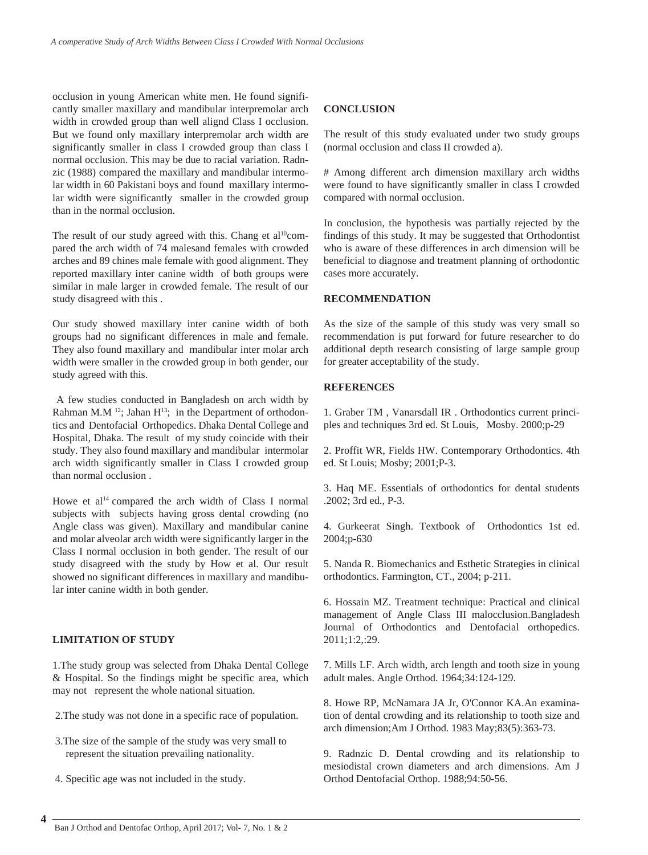occlusion in young American white men. He found significantly smaller maxillary and mandibular interpremolar arch width in crowded group than well alignd Class I occlusion. But we found only maxillary interpremolar arch width are significantly smaller in class I crowded group than class I normal occlusion. This may be due to racial variation. Radnzic (1988) compared the maxillary and mandibular intermolar width in 60 Pakistani boys and found maxillary intermolar width were significantly smaller in the crowded group than in the normal occlusion.

The result of our study agreed with this. Chang et  $al^{10}$ compared the arch width of 74 malesand females with crowded arches and 89 chines male female with good alignment. They reported maxillary inter canine width of both groups were similar in male larger in crowded female. The result of our study disagreed with this .

Our study showed maxillary inter canine width of both groups had no significant differences in male and female. They also found maxillary and mandibular inter molar arch width were smaller in the crowded group in both gender, our study agreed with this.

 A few studies conducted in Bangladesh on arch width by Rahman M.M  $^{12}$ ; Jahan H<sup>13</sup>; in the Department of orthodontics and Dentofacial Orthopedics. Dhaka Dental College and Hospital, Dhaka. The result of my study coincide with their study. They also found maxillary and mandibular intermolar arch width significantly smaller in Class I crowded group than normal occlusion .

Howe et al<sup>14</sup> compared the arch width of Class I normal subjects with subjects having gross dental crowding (no Angle class was given). Maxillary and mandibular canine and molar alveolar arch width were significantly larger in the Class I normal occlusion in both gender. The result of our study disagreed with the study by How et al. Our result showed no significant differences in maxillary and mandibular inter canine width in both gender.

### **LIMITATION OF STUDY**

1.The study group was selected from Dhaka Dental College & Hospital. So the findings might be specific area, which may not represent the whole national situation.

- 2.The study was not done in a specific race of population.
- 3.The size of the sample of the study was very small to represent the situation prevailing nationality.
- 4. Specific age was not included in the study.

### **CONCLUSION**

The result of this study evaluated under two study groups (normal occlusion and class II crowded a).

# Among different arch dimension maxillary arch widths were found to have significantly smaller in class I crowded compared with normal occlusion.

In conclusion, the hypothesis was partially rejected by the findings of this study. It may be suggested that Orthodontist who is aware of these differences in arch dimension will be beneficial to diagnose and treatment planning of orthodontic cases more accurately.

### **RECOMMENDATION**

As the size of the sample of this study was very small so recommendation is put forward for future researcher to do additional depth research consisting of large sample group for greater acceptability of the study.

### **REFERENCES**

1. Graber TM , Vanarsdall IR . Orthodontics current principles and techniques 3rd ed. St Louis, Mosby. 2000;p-29

2. Proffit WR, Fields HW. Contemporary Orthodontics. 4th ed. St Louis; Mosby; 2001;P-3.

3. Haq ME. Essentials of orthodontics for dental students .2002; 3rd ed., P-3.

4. Gurkeerat Singh. Textbook of Orthodontics 1st ed. 2004;p-630

5. Nanda R. Biomechanics and Esthetic Strategies in clinical orthodontics. Farmington, CT., 2004; p-211.

6. Hossain MZ. Treatment technique: Practical and clinical management of Angle Class III malocclusion.Bangladesh Journal of Orthodontics and Dentofacial orthopedics. 2011;1:2,:29.

7. Mills LF. Arch width, arch length and tooth size in young adult males. Angle Orthod. 1964;34:124-129.

8. Howe RP, McNamara JA Jr, O'Connor KA.An examination of dental crowding and its relationship to tooth size and arch dimension;Am J Orthod. 1983 May;83(5):363-73.

9. Radnzic D. Dental crowding and its relationship to mesiodistal crown diameters and arch dimensions. Am J Orthod Dentofacial Orthop. 1988;94:50-56.